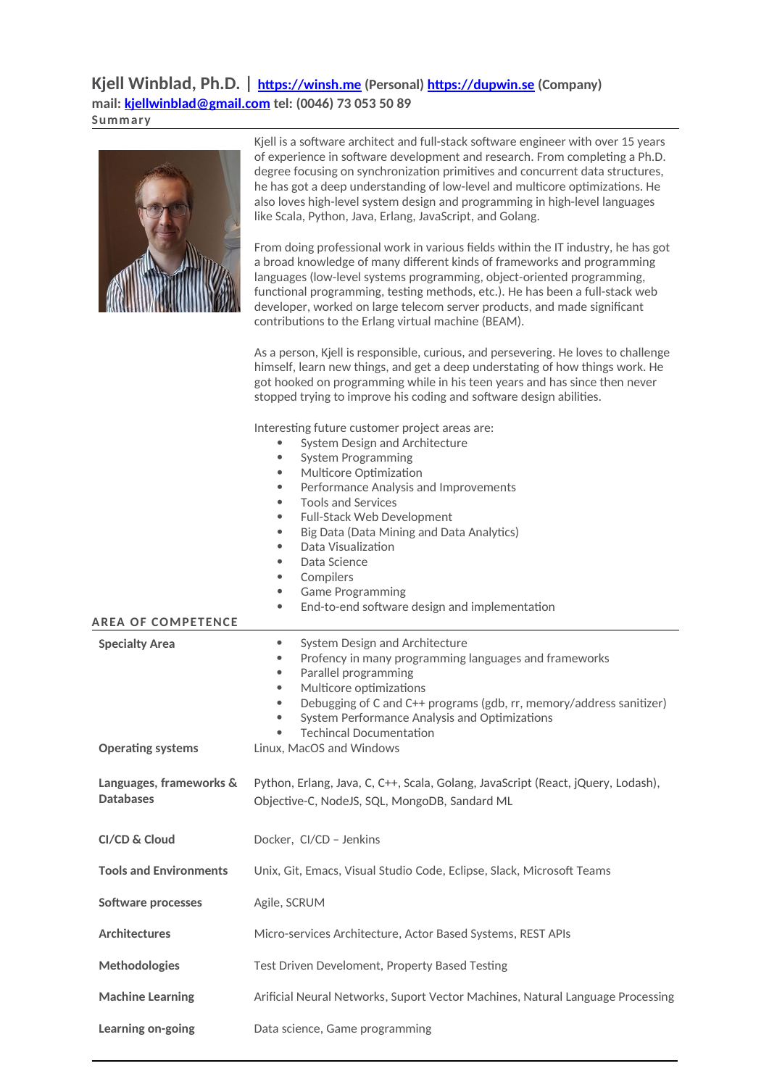**Kjell Winblad, Ph.D. | [https://winsh.me](https://winsh.me/) (Personal) [https://dupwin.se](https://dupwin.se/) (Company) mail: [kjellwinblad@gmail.com](mailto:kjellwinblad@gmail.com) tel: (0046) 73 053 50 89 Summary**

|                                             | Kjell is a software architect and full-stack software engineer with over 15 years<br>of experience in software development and research. From completing a Ph.D.<br>degree focusing on synchronization primitives and concurrent data structures,<br>he has got a deep understanding of low-level and multicore optimizations. He<br>also loves high-level system design and programming in high-level languages<br>like Scala, Python, Java, Erlang, JavaScript, and Golang.<br>From doing professional work in various fields within the IT industry, he has got<br>a broad knowledge of many different kinds of frameworks and programming<br>languages (low-level systems programming, object-oriented programming,<br>functional programming, testing methods, etc.). He has been a full-stack web<br>developer, worked on large telecom server products, and made significant<br>contributions to the Erlang virtual machine (BEAM).<br>As a person, Kjell is responsible, curious, and persevering. He loves to challenge<br>himself, learn new things, and get a deep understating of how things work. He<br>got hooked on programming while in his teen years and has since then never |
|---------------------------------------------|-------------------------------------------------------------------------------------------------------------------------------------------------------------------------------------------------------------------------------------------------------------------------------------------------------------------------------------------------------------------------------------------------------------------------------------------------------------------------------------------------------------------------------------------------------------------------------------------------------------------------------------------------------------------------------------------------------------------------------------------------------------------------------------------------------------------------------------------------------------------------------------------------------------------------------------------------------------------------------------------------------------------------------------------------------------------------------------------------------------------------------------------------------------------------------------------------|
|                                             | stopped trying to improve his coding and software design abilities.<br>Interesting future customer project areas are:<br>System Design and Architecture<br>$\bullet$<br><b>System Programming</b><br>$\bullet$<br>Multicore Optimization<br>$\bullet$<br>Performance Analysis and Improvements<br>$\bullet$<br><b>Tools and Services</b><br>$\bullet$<br>Full-Stack Web Development<br>$\bullet$<br>Big Data (Data Mining and Data Analytics)<br>$\bullet$<br>Data Visualization<br>$\bullet$<br>Data Science<br>$\bullet$<br>Compilers<br>۰<br><b>Game Programming</b><br>$\bullet$<br>End-to-end software design and implementation<br>$\bullet$                                                                                                                                                                                                                                                                                                                                                                                                                                                                                                                                              |
| <b>AREA OF COMPETENCE</b>                   |                                                                                                                                                                                                                                                                                                                                                                                                                                                                                                                                                                                                                                                                                                                                                                                                                                                                                                                                                                                                                                                                                                                                                                                                 |
| <b>Specialty Area</b>                       | System Design and Architecture<br>۰<br>Profency in many programming languages and frameworks<br>$\bullet$                                                                                                                                                                                                                                                                                                                                                                                                                                                                                                                                                                                                                                                                                                                                                                                                                                                                                                                                                                                                                                                                                       |
|                                             | Parallel programming<br>$\bullet$<br>Multicore optimizations<br>$\bullet$<br>Debugging of C and C++ programs (gdb, rr, memory/address sanitizer)<br>$\bullet$<br>System Performance Analysis and Optimizations<br>$\bullet$<br><b>Techincal Documentation</b><br>$\bullet$                                                                                                                                                                                                                                                                                                                                                                                                                                                                                                                                                                                                                                                                                                                                                                                                                                                                                                                      |
| <b>Operating systems</b>                    | Linux, MacOS and Windows                                                                                                                                                                                                                                                                                                                                                                                                                                                                                                                                                                                                                                                                                                                                                                                                                                                                                                                                                                                                                                                                                                                                                                        |
| Languages, frameworks &<br><b>Databases</b> | Python, Erlang, Java, C, C++, Scala, Golang, JavaScript (React, jQuery, Lodash),<br>Objective-C, NodeJS, SQL, MongoDB, Sandard ML                                                                                                                                                                                                                                                                                                                                                                                                                                                                                                                                                                                                                                                                                                                                                                                                                                                                                                                                                                                                                                                               |
| CI/CD & Cloud                               | Docker, CI/CD - Jenkins                                                                                                                                                                                                                                                                                                                                                                                                                                                                                                                                                                                                                                                                                                                                                                                                                                                                                                                                                                                                                                                                                                                                                                         |
| <b>Tools and Environments</b>               | Unix, Git, Emacs, Visual Studio Code, Eclipse, Slack, Microsoft Teams                                                                                                                                                                                                                                                                                                                                                                                                                                                                                                                                                                                                                                                                                                                                                                                                                                                                                                                                                                                                                                                                                                                           |
| <b>Software processes</b>                   | Agile, SCRUM                                                                                                                                                                                                                                                                                                                                                                                                                                                                                                                                                                                                                                                                                                                                                                                                                                                                                                                                                                                                                                                                                                                                                                                    |
| <b>Architectures</b>                        | Micro-services Architecture, Actor Based Systems, REST APIs                                                                                                                                                                                                                                                                                                                                                                                                                                                                                                                                                                                                                                                                                                                                                                                                                                                                                                                                                                                                                                                                                                                                     |
| <b>Methodologies</b>                        | Test Driven Develoment, Property Based Testing                                                                                                                                                                                                                                                                                                                                                                                                                                                                                                                                                                                                                                                                                                                                                                                                                                                                                                                                                                                                                                                                                                                                                  |

**Learning on-going** Data science, Game programming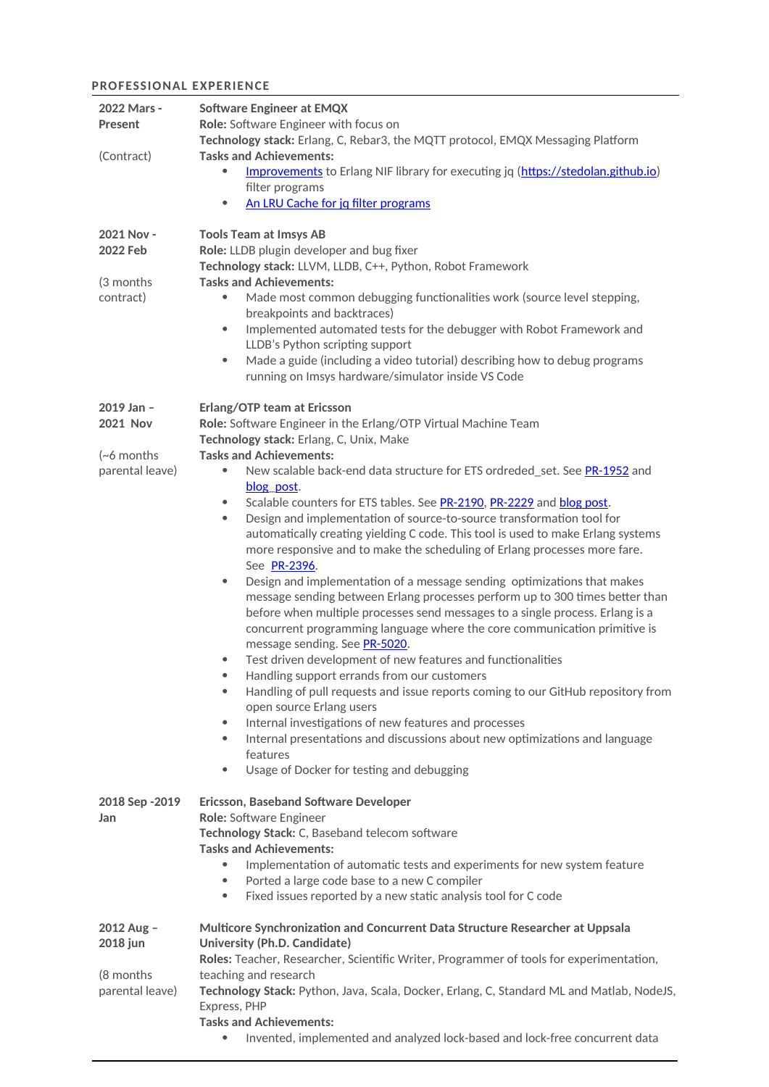## **PROFESSIONAL EXPERIENCE**

| 2022 Mars -<br>Present<br>(Contract)                             | <b>Software Engineer at EMQX</b><br>Role: Software Engineer with focus on<br>Technology stack: Erlang, C, Rebar3, the MQTT protocol, EMQX Messaging Platform<br><b>Tasks and Achievements:</b>                                                                                                                                                                                                                                                                                                                                                                                                                                                                                                                                                                                                                                                                                                                                                                                                                                                                                                                                                                                                                                                                                                                                                                                                                                                                                              |  |  |  |
|------------------------------------------------------------------|---------------------------------------------------------------------------------------------------------------------------------------------------------------------------------------------------------------------------------------------------------------------------------------------------------------------------------------------------------------------------------------------------------------------------------------------------------------------------------------------------------------------------------------------------------------------------------------------------------------------------------------------------------------------------------------------------------------------------------------------------------------------------------------------------------------------------------------------------------------------------------------------------------------------------------------------------------------------------------------------------------------------------------------------------------------------------------------------------------------------------------------------------------------------------------------------------------------------------------------------------------------------------------------------------------------------------------------------------------------------------------------------------------------------------------------------------------------------------------------------|--|--|--|
|                                                                  | Improvements to Erlang NIF library for executing jq (https://stedolan.github.io)<br>filter programs<br>An LRU Cache for jq filter programs<br>۰                                                                                                                                                                                                                                                                                                                                                                                                                                                                                                                                                                                                                                                                                                                                                                                                                                                                                                                                                                                                                                                                                                                                                                                                                                                                                                                                             |  |  |  |
| 2021 Nov -<br>2022 Feb<br>(3 months<br>contract)                 | <b>Tools Team at Imsys AB</b><br>Role: LLDB plugin developer and bug fixer<br>Technology stack: LLVM, LLDB, C++, Python, Robot Framework<br><b>Tasks and Achievements:</b><br>Made most common debugging functionalities work (source level stepping,<br>breakpoints and backtraces)<br>Implemented automated tests for the debugger with Robot Framework and<br>۰<br>LLDB's Python scripting support<br>Made a guide (including a video tutorial) describing how to debug programs<br>۰<br>running on Imsys hardware/simulator inside VS Code                                                                                                                                                                                                                                                                                                                                                                                                                                                                                                                                                                                                                                                                                                                                                                                                                                                                                                                                              |  |  |  |
| 2019 Jan -<br><b>2021 Nov</b><br>$(-6$ months<br>parental leave) | <b>Erlang/OTP team at Ericsson</b><br>Role: Software Engineer in the Erlang/OTP Virtual Machine Team<br>Technology stack: Erlang, C, Unix, Make<br><b>Tasks and Achievements:</b><br>New scalable back-end data structure for ETS ordreded_set. See PR-1952 and<br>۰<br>blog post.<br>Scalable counters for ETS tables. See PR-2190, PR-2229 and blog post.<br>۰<br>Design and implementation of source-to-source transformation tool for<br>۰<br>automatically creating yielding C code. This tool is used to make Erlang systems<br>more responsive and to make the scheduling of Erlang processes more fare.<br>See PR-2396.<br>Design and implementation of a message sending optimizations that makes<br>$\bullet$<br>message sending between Erlang processes perform up to 300 times better than<br>before when multiple processes send messages to a single process. Erlang is a<br>concurrent programming language where the core communication primitive is<br>message sending. See PR-5020.<br>Test driven development of new features and functionalities<br>$\bullet$<br>Handling support errands from our customers<br>۰<br>Handling of pull requests and issue reports coming to our GitHub repository from<br>$\bullet$<br>open source Erlang users<br>Internal investigations of new features and processes<br>۰<br>Internal presentations and discussions about new optimizations and language<br>$\bullet$<br>features<br>Usage of Docker for testing and debugging<br>۰ |  |  |  |
| 2018 Sep - 2019<br>Jan                                           | <b>Ericsson, Baseband Software Developer</b><br>Role: Software Engineer<br>Technology Stack: C, Baseband telecom software<br><b>Tasks and Achievements:</b><br>Implementation of automatic tests and experiments for new system feature<br>$\bullet$<br>Ported a large code base to a new C compiler<br>$\bullet$<br>Fixed issues reported by a new static analysis tool for C code<br>$\bullet$                                                                                                                                                                                                                                                                                                                                                                                                                                                                                                                                                                                                                                                                                                                                                                                                                                                                                                                                                                                                                                                                                            |  |  |  |
| 2012 Aug -<br>2018 jun<br>(8 months)<br>parental leave)          | Multicore Synchronization and Concurrent Data Structure Researcher at Uppsala<br><b>University (Ph.D. Candidate)</b><br>Roles: Teacher, Researcher, Scientific Writer, Programmer of tools for experimentation,<br>teaching and research<br>Technology Stack: Python, Java, Scala, Docker, Erlang, C, Standard ML and Matlab, NodeJS,<br>Express, PHP<br><b>Tasks and Achievements:</b>                                                                                                                                                                                                                                                                                                                                                                                                                                                                                                                                                                                                                                                                                                                                                                                                                                                                                                                                                                                                                                                                                                     |  |  |  |
|                                                                  | Invented, implemented and analyzed lock-based and lock-free concurrent data<br>$\bullet$                                                                                                                                                                                                                                                                                                                                                                                                                                                                                                                                                                                                                                                                                                                                                                                                                                                                                                                                                                                                                                                                                                                                                                                                                                                                                                                                                                                                    |  |  |  |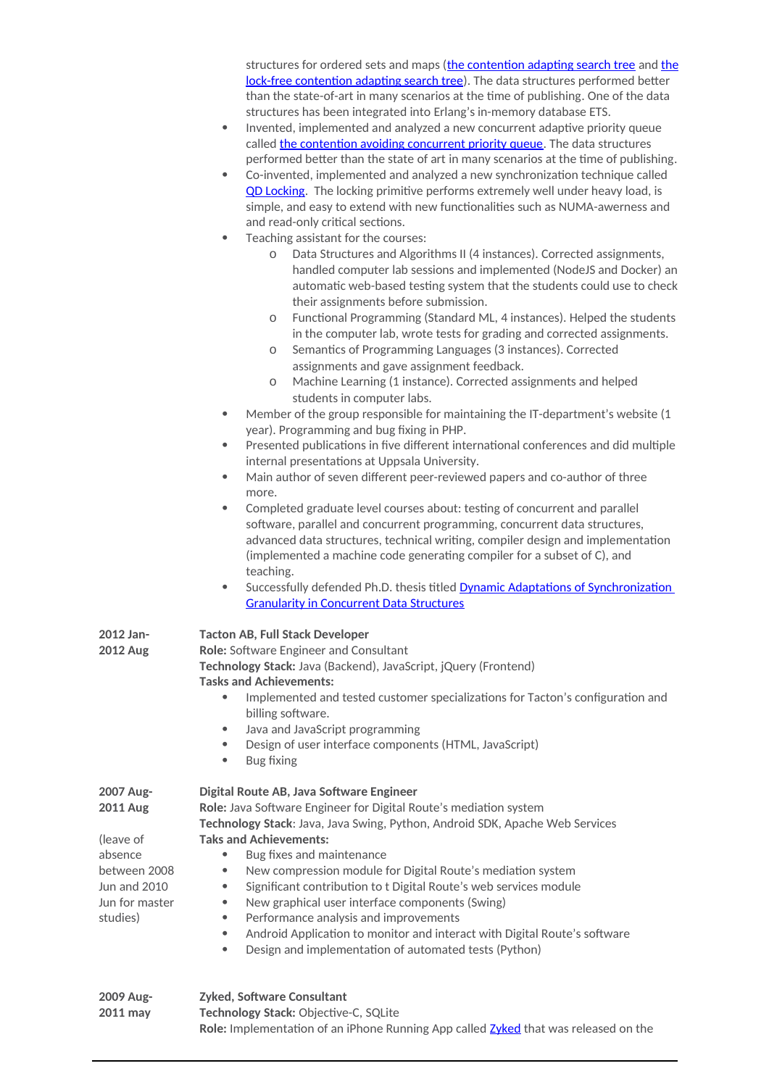|                                                                                                                    | structures for ordered sets and maps (the contention adapting search tree and the<br>lock-free contention adapting search tree). The data structures performed better<br>than the state-of-art in many scenarios at the time of publishing. One of the data<br>structures has been integrated into Erlang's in-memory database ETS.<br>Invented, implemented and analyzed a new concurrent adaptive priority queue<br>$\bullet$<br>called the contention avoiding concurrent priority queue. The data structures<br>performed better than the state of art in many scenarios at the time of publishing.<br>Co-invented, implemented and analyzed a new synchronization technique called<br>$\bullet$<br>QD Locking. The locking primitive performs extremely well under heavy load, is<br>simple, and easy to extend with new functionalities such as NUMA-awerness and<br>and read-only critical sections.<br>Teaching assistant for the courses:<br>$\bullet$<br>Data Structures and Algorithms II (4 instances). Corrected assignments,<br>0<br>handled computer lab sessions and implemented (NodeJS and Docker) an<br>automatic web-based testing system that the students could use to check<br>their assignments before submission.<br>Functional Programming (Standard ML, 4 instances). Helped the students<br>0<br>in the computer lab, wrote tests for grading and corrected assignments.<br>Semantics of Programming Languages (3 instances). Corrected<br>0<br>assignments and gave assignment feedback.<br>Machine Learning (1 instance). Corrected assignments and helped<br>O<br>students in computer labs.<br>Member of the group responsible for maintaining the IT-department's website (1<br>$\bullet$<br>year). Programming and bug fixing in PHP.<br>Presented publications in five different international conferences and did multiple<br>$\bullet$<br>internal presentations at Uppsala University.<br>Main author of seven different peer-reviewed papers and co-author of three<br>$\bullet$<br>more.<br>Completed graduate level courses about: testing of concurrent and parallel<br>$\bullet$<br>software, parallel and concurrent programming, concurrent data structures,<br>advanced data structures, technical writing, compiler design and implementation<br>(implemented a machine code generating compiler for a subset of C), and<br>teaching.<br>Successfully defended Ph.D. thesis titled <b>Dynamic Adaptations of Synchronization</b><br>$\bullet$<br><b>Granularity in Concurrent Data Structures</b> |  |  |
|--------------------------------------------------------------------------------------------------------------------|--------------------------------------------------------------------------------------------------------------------------------------------------------------------------------------------------------------------------------------------------------------------------------------------------------------------------------------------------------------------------------------------------------------------------------------------------------------------------------------------------------------------------------------------------------------------------------------------------------------------------------------------------------------------------------------------------------------------------------------------------------------------------------------------------------------------------------------------------------------------------------------------------------------------------------------------------------------------------------------------------------------------------------------------------------------------------------------------------------------------------------------------------------------------------------------------------------------------------------------------------------------------------------------------------------------------------------------------------------------------------------------------------------------------------------------------------------------------------------------------------------------------------------------------------------------------------------------------------------------------------------------------------------------------------------------------------------------------------------------------------------------------------------------------------------------------------------------------------------------------------------------------------------------------------------------------------------------------------------------------------------------------------------------------------------------------------------------------------------------------------------------------------------------------------------------------------------------------------------------------------------------------------------------------------------------------------------------------------------------------------------------------------------------------------------------------------------------------------------------------------------------------------------------------------|--|--|
| 2012 Jan-<br><b>2012 Aug</b>                                                                                       | <b>Tacton AB, Full Stack Developer</b><br>Role: Software Engineer and Consultant<br>Technology Stack: Java (Backend), JavaScript, jQuery (Frontend)<br><b>Tasks and Achievements:</b><br>Implemented and tested customer specializations for Tacton's configuration and<br>billing software.<br>Java and JavaScript programming<br>$\bullet$<br>Design of user interface components (HTML, JavaScript)<br>$\bullet$<br>Bug fixing<br>$\bullet$                                                                                                                                                                                                                                                                                                                                                                                                                                                                                                                                                                                                                                                                                                                                                                                                                                                                                                                                                                                                                                                                                                                                                                                                                                                                                                                                                                                                                                                                                                                                                                                                                                                                                                                                                                                                                                                                                                                                                                                                                                                                                                   |  |  |
| 2007 Aug-<br><b>2011 Aug</b><br>(leave of<br>absence<br>between 2008<br>Jun and 2010<br>Jun for master<br>studies) | Digital Route AB, Java Software Engineer<br>Role: Java Software Engineer for Digital Route's mediation system<br>Technology Stack: Java, Java Swing, Python, Android SDK, Apache Web Services<br><b>Taks and Achievements:</b><br>Bug fixes and maintenance<br>$\bullet$<br>New compression module for Digital Route's mediation system<br>$\bullet$<br>Significant contribution to t Digital Route's web services module<br>$\bullet$<br>New graphical user interface components (Swing)<br>$\bullet$<br>Performance analysis and improvements<br>$\bullet$<br>Android Application to monitor and interact with Digital Route's software<br>$\bullet$<br>Design and implementation of automated tests (Python)<br>$\bullet$                                                                                                                                                                                                                                                                                                                                                                                                                                                                                                                                                                                                                                                                                                                                                                                                                                                                                                                                                                                                                                                                                                                                                                                                                                                                                                                                                                                                                                                                                                                                                                                                                                                                                                                                                                                                                     |  |  |
| 2009 Aug-<br>2011 may                                                                                              | Zyked, Software Consultant<br>Technology Stack: Objective-C, SQLite                                                                                                                                                                                                                                                                                                                                                                                                                                                                                                                                                                                                                                                                                                                                                                                                                                                                                                                                                                                                                                                                                                                                                                                                                                                                                                                                                                                                                                                                                                                                                                                                                                                                                                                                                                                                                                                                                                                                                                                                                                                                                                                                                                                                                                                                                                                                                                                                                                                                              |  |  |

**Role:** Implementation of an iPhone Running App called [Zyked](https://www.youtube.com/watch?v=CZ29HG3EID0) that was released on the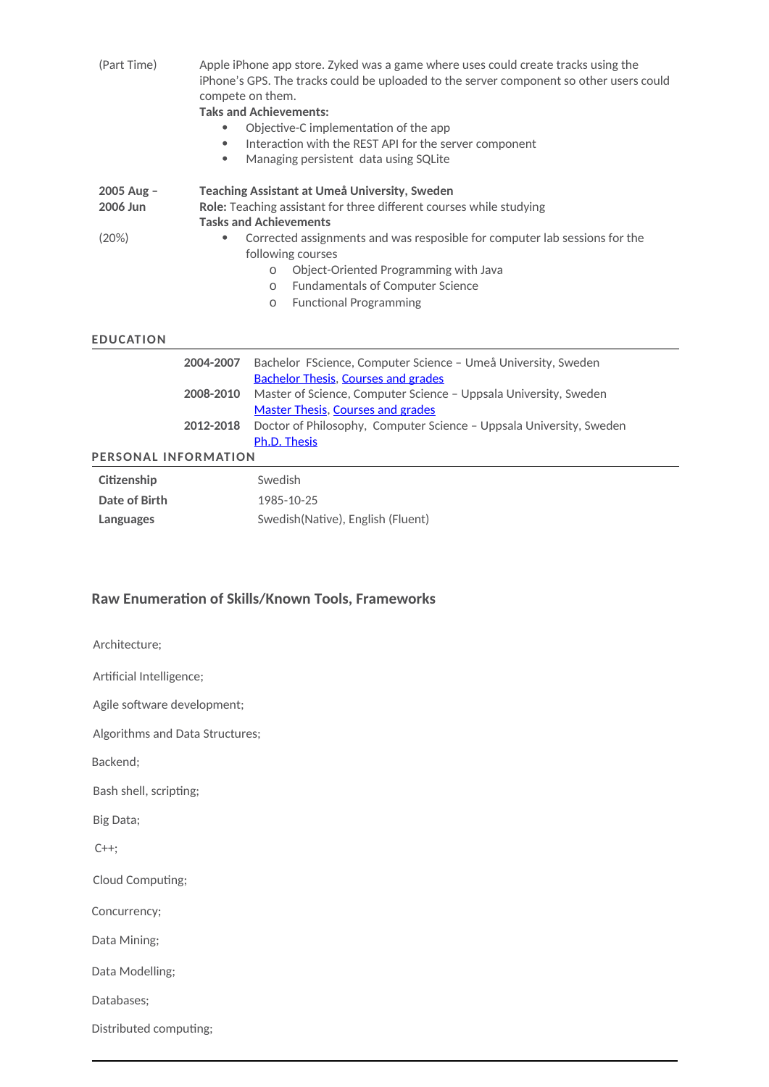| (Part Time)          | $\bullet$<br>$\bullet$ | Apple iPhone app store. Zyked was a game where uses could create tracks using the<br>iPhone's GPS. The tracks could be uploaded to the server component so other users could<br>compete on them.<br><b>Taks and Achievements:</b><br>Objective-C implementation of the app<br>Interaction with the REST API for the server component<br>Managing persistent data using SQLite |  |  |
|----------------------|------------------------|-------------------------------------------------------------------------------------------------------------------------------------------------------------------------------------------------------------------------------------------------------------------------------------------------------------------------------------------------------------------------------|--|--|
| $2005$ Aug -         |                        | Teaching Assistant at Umeå University, Sweden                                                                                                                                                                                                                                                                                                                                 |  |  |
| 2006 Jun             |                        | Role: Teaching assistant for three different courses while studying<br><b>Tasks and Achievements</b>                                                                                                                                                                                                                                                                          |  |  |
| (20%)                |                        | Corrected assignments and was resposible for computer lab sessions for the                                                                                                                                                                                                                                                                                                    |  |  |
|                      |                        | following courses                                                                                                                                                                                                                                                                                                                                                             |  |  |
|                      |                        | Object-Oriented Programming with Java<br>$\Omega$                                                                                                                                                                                                                                                                                                                             |  |  |
|                      |                        | <b>Fundamentals of Computer Science</b><br>$\Omega$                                                                                                                                                                                                                                                                                                                           |  |  |
|                      |                        | <b>Functional Programming</b><br>$\Omega$                                                                                                                                                                                                                                                                                                                                     |  |  |
| <b>EDUCATION</b>     |                        |                                                                                                                                                                                                                                                                                                                                                                               |  |  |
|                      | 2004-2007              | Bachelor FScience, Computer Science - Umeå University, Sweden                                                                                                                                                                                                                                                                                                                 |  |  |
|                      |                        | <b>Bachelor Thesis, Courses and grades</b>                                                                                                                                                                                                                                                                                                                                    |  |  |
|                      | 2008-2010              | Master of Science, Computer Science - Uppsala University, Sweden                                                                                                                                                                                                                                                                                                              |  |  |
|                      |                        | <b>Master Thesis, Courses and grades</b>                                                                                                                                                                                                                                                                                                                                      |  |  |
|                      | 2012-2018              | Doctor of Philosophy, Computer Science - Uppsala University, Sweden                                                                                                                                                                                                                                                                                                           |  |  |
|                      |                        | Ph.D. Thesis                                                                                                                                                                                                                                                                                                                                                                  |  |  |
| PERSONAL INFORMATION |                        |                                                                                                                                                                                                                                                                                                                                                                               |  |  |
| Citizenship          |                        | Swedish                                                                                                                                                                                                                                                                                                                                                                       |  |  |
| Date of Birth        |                        | 1985-10-25                                                                                                                                                                                                                                                                                                                                                                    |  |  |
| Languages            |                        | Swedish(Native), English (Fluent)                                                                                                                                                                                                                                                                                                                                             |  |  |

## **Raw Enumeration of Skills/Known Tools, Frameworks**

Architecture;

Artificial Intelligence;

Agile software development;

Algorithms and Data Structures;

Backend;

Bash shell, scripting;

Big Data;

C++;

Cloud Computing;

Concurrency;

Data Mining;

Data Modelling;

Databases;

Distributed computing;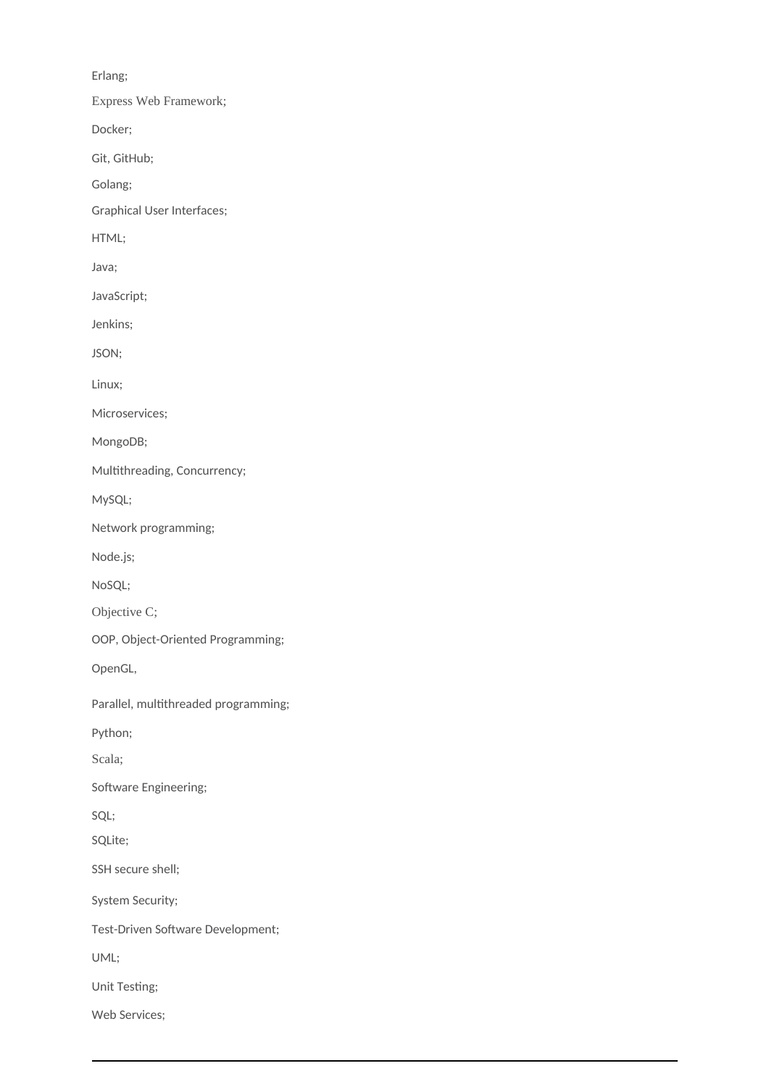Erlang;

Express Web Framework;

Docker;

Git, GitHub;

Golang;

Graphical User Interfaces;

HTML;

Java;

JavaScript;

Jenkins;

JSON;

Linux;

Microservices;

MongoDB;

Multithreading, Concurrency;

MySQL;

Network programming;

Node.js;

NoSQL;

Objective C;

OOP, Object-Oriented Programming;

OpenGL,

Parallel, multithreaded programming;

Python;

Scala;

Software Engineering;

SQL;

SQLite;

SSH secure shell;

System Security;

Test-Driven Software Development;

UML;

Unit Testing;

Web Services;